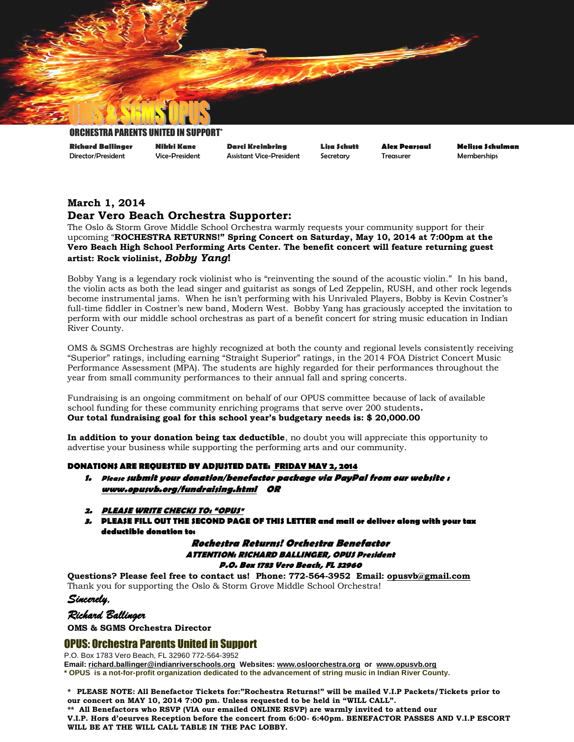

#### ORCHESTRA PARENTS

**Richard Ballinger Nikki Kane Darci Kreinbring Lisa Schutt Alex Pearsaul Melissa Schulman** Director/President Vice-President Assistant Vice-President Secretary Treasurer Memberships

## **March 1, 2014 Dear Vero Beach Orchestra Supporter:**

The Oslo & Storm Grove Middle School Orchestra warmly requests your community support for their upcoming "**ROCHESTRA RETURNS!" Spring Concert on Saturday, May 10, 2014 at 7:00pm at the Vero Beach High School Performing Arts Center. The benefit concert will feature returning guest artist: Rock violinist,** *Bobby Yang***!**

Bobby Yang is a legendary rock violinist who is "reinventing the sound of the acoustic violin." In his band, the violin acts as both the lead singer and guitarist as songs of Led Zeppelin, RUSH, and other rock legends become instrumental jams. When he isn't performing with his Unrivaled Players, Bobby is Kevin Costner's full-time fiddler in Costner's new band, Modern West. Bobby Yang has graciously accepted the invitation to perform with our middle school orchestras as part of a benefit concert for string music education in Indian River County.

OMS & SGMS Orchestras are highly recognized at both the county and regional levels consistently receiving "Superior" ratings, including earning "Straight Superior" ratings, in the 2014 FOA District Concert Music Performance Assessment (MPA). The students are highly regarded for their performances throughout the year from small community performances to their annual fall and spring concerts.

Fundraising is an ongoing commitment on behalf of our OPUS committee because of lack of available school funding for these community enriching programs that serve over 200 students**. Our total fundraising goal for this school year's budgetary needs is: \$ 20,000.00**

**In addition to your donation being tax deductible**, no doubt you will appreciate this opportunity to advertise your business while supporting the performing arts and our community.

#### **DONATIONS ARE REQUESTED BY ADJUSTED DATE: FRIDAY MAY 2, 2014**

- **1. Please submit your donation/benefactor package via PayPal from our website : [www.opusvb.org/](http://www.opusvb.org/)fundraising.html OR**
- **2. PLEASE WRITE CHECKS TO: "OPUS"**
- **3. PLEASE FILL OUT THE SECOND PAGE OF THIS LETTER and mail or deliver along with your tax deductible donation to:**

#### **Rochestra Returns! Orchestra Benefactor ATTENTION: RICHARD BALLINGER, OPUS President P.O. Box 1783 Vero Beach, FL 32960**

**Questions? Please feel free to contact us! Phone: 772-564-3952 Email: [opusvb@gmail.com](mailto:opusvb@gmail.com)**  Thank you for supporting the Oslo & Storm Grove Middle School Orchestra!

*Sincerely,* 

*Richard Ballinger* 

**OMS & SGMS Orchestra Director**

### OPUS: Orchestra Parents United in Support

P.O. Box 1783 Vero Beach, FL 32960 772-564-3952

**Email[: richard.ballinger@indianriverschools.org](mailto:richard.ballinger@indianriverschools.org) Websites: [www.osloorchestra.org](http://www.osloorchestra.org/) or [www.opusvb.org](http://www.opusvb.org/) \* OPUS is a not-for-profit organization dedicated to the advancement of string music in Indian River County.**

**\* PLEASE NOTE: All Benefactor Tickets for:"Rochestra Returns!" will be mailed V.I.P Packets/Tickets prior to our concert on MAY 10, 2014 7:00 pm. Unless requested to be held in "WILL CALL". \*\* All Benefactors who RSVP (VIA our emailed ONLINE RSVP) are warmly invited to attend our** 

**V.I.P. Hors d'oeurves Reception before the concert from 6:00- 6:40pm. BENEFACTOR PASSES AND V.I.P ESCORT WILL BE AT THE WILL CALL TABLE IN THE PAC LOBBY.**